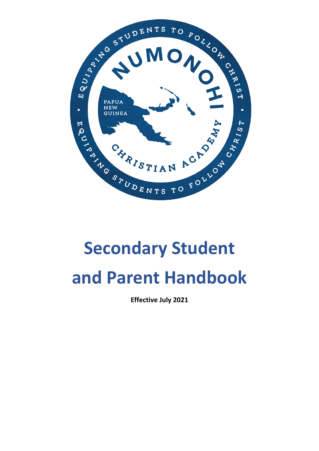

# **Secondary Student and Parent Handbook**

**Effective July 2021**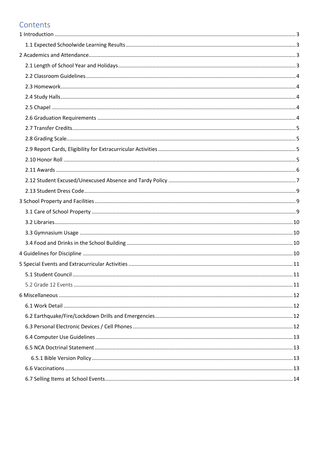# Contents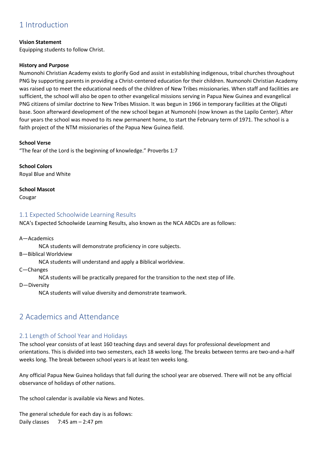# <span id="page-2-0"></span>1 Introduction

#### **Vision Statement**

Equipping students to follow Christ.

#### **History and Purpose**

Numonohi Christian Academy exists to glorify God and assist in establishing indigenous, tribal churches throughout PNG by supporting parents in providing a Christ-centered education for their children. Numonohi Christian Academy was raised up to meet the educational needs of the children of New Tribes missionaries. When staff and facilities are sufficient, the school will also be open to other evangelical missions serving in Papua New Guinea and evangelical PNG citizens of similar doctrine to New Tribes Mission. It was begun in 1966 in temporary facilities at the Oliguti base. Soon afterward development of the new school began at Numonohi (now known as the Lapilo Center). After four years the school was moved to its new permanent home, to start the February term of 1971. The school is a faith project of the NTM missionaries of the Papua New Guinea field.

#### **School Verse**

"The fear of the Lord is the beginning of knowledge." Proverbs 1:7

**School Colors** Royal Blue and White

#### **School Mascot**

Cougar

#### <span id="page-2-1"></span>1.1 Expected Schoolwide Learning Results

NCA's Expected Schoolwide Learning Results, also known as the NCA ABCDs are as follows:

A—Academics

NCA students will demonstrate proficiency in core subjects.

B—Biblical Worldview

NCA students will understand and apply a Biblical worldview.

C—Changes

NCA students will be practically prepared for the transition to the next step of life.

D—Diversity

NCA students will value diversity and demonstrate teamwork.

# <span id="page-2-2"></span>2 Academics and Attendance

# <span id="page-2-3"></span>2.1 Length of School Year and Holidays

The school year consists of at least 160 teaching days and several days for professional development and orientations. This is divided into two semesters, each 18 weeks long. The breaks between terms are two-and-a-half weeks long. The break between school years is at least ten weeks long.

Any official Papua New Guinea holidays that fall during the school year are observed. There will not be any official observance of holidays of other nations.

The school calendar is available via News and Notes.

The general schedule for each day is as follows: Daily classes  $7:45$  am  $-2:47$  pm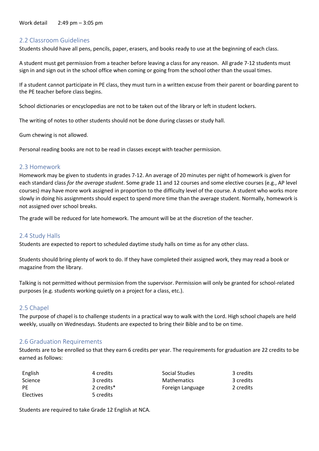Work detail 2:49 pm – 3:05 pm

#### <span id="page-3-0"></span>2.2 Classroom Guidelines

Students should have all pens, pencils, paper, erasers, and books ready to use at the beginning of each class.

A student must get permission from a teacher before leaving a class for any reason. All grade 7-12 students must sign in and sign out in the school office when coming or going from the school other than the usual times.

If a student cannot participate in PE class, they must turn in a written excuse from their parent or boarding parent to the PE teacher before class begins.

School dictionaries or encyclopedias are not to be taken out of the library or left in student lockers.

The writing of notes to other students should not be done during classes or study hall.

Gum chewing is not allowed.

Personal reading books are not to be read in classes except with teacher permission.

#### <span id="page-3-1"></span>2.3 Homework

Homework may be given to students in grades 7-12. An average of 20 minutes per night of homework is given for each standard class *for the average student*. Some grade 11 and 12 courses and some elective courses (e.g., AP level courses) may have more work assigned in proportion to the difficulty level of the course. A student who works more slowly in doing his assignments should expect to spend more time than the average student. Normally, homework is not assigned over school breaks.

The grade will be reduced for late homework. The amount will be at the discretion of the teacher.

#### <span id="page-3-2"></span>2.4 Study Halls

Students are expected to report to scheduled daytime study halls on time as for any other class.

Students should bring plenty of work to do. If they have completed their assigned work, they may read a book or magazine from the library.

Talking is not permitted without permission from the supervisor. Permission will only be granted for school-related purposes (e.g. students working quietly on a project for a class, etc.).

#### <span id="page-3-3"></span>2.5 Chapel

The purpose of chapel is to challenge students in a practical way to walk with the Lord. High school chapels are held weekly, usually on Wednesdays. Students are expected to bring their Bible and to be on time.

#### <span id="page-3-4"></span>2.6 Graduation Requirements

Students are to be enrolled so that they earn 6 credits per year. The requirements for graduation are 22 credits to be earned as follows:

| English   | 4 credits  | Social Studies     | 3 credits |
|-----------|------------|--------------------|-----------|
| Science   | 3 credits  | <b>Mathematics</b> | 3 credits |
| PE        | 2 credits* | Foreign Language   | 2 credits |
| Electives | 5 credits  |                    |           |

Students are required to take Grade 12 English at NCA.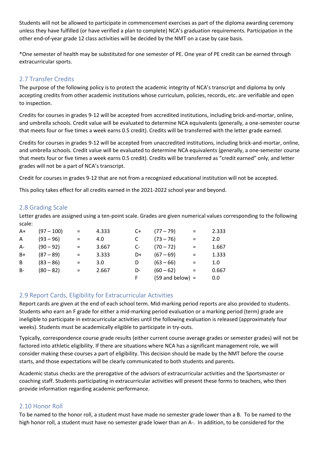Students will not be allowed to participate in commencement exercises as part of the diploma awarding ceremony unless they have fulfilled (or have verified a plan to complete) NCA's graduation requirements. Participation in the other end-of-year grade 12 class activities will be decided by the NMT on a case by case basis.

\*One semester of health may be substituted for one semester of PE. One year of PE credit can be earned through extracurricular sports.

# <span id="page-4-0"></span>2.7 Transfer Credits

The purpose of the following policy is to protect the academic integrity of NCA's transcript and diploma by only accepting credits from other academic institutions whose curriculum, policies, records, etc. are verifiable and open to inspection.

Credits for courses in grades 9-12 will be accepted from accredited institutions, including brick-and-mortar, online, and umbrella schools. Credit value will be evaluated to determine NCA equivalents (generally, a one-semester course that meets four or five times a week earns 0.5 credit). Credits will be transferred with the letter grade earned.

Credits for courses in grades 9-12 will be accepted from unaccredited institutions, including brick-and-mortar, online, and umbrella schools. Credit value will be evaluated to determine NCA equivalents (generally, a one-semester course that meets four or five times a week earns 0.5 credit). Credits will be transferred as "credit earned" only, and letter grades will not be a part of NCA's transcript.

Credit for courses in grades 9-12 that are not from a recognized educational institution will not be accepted.

This policy takes effect for all credits earned in the 2021-2022 school year and beyond.

## <span id="page-4-1"></span>2.8 Grading Scale

Letter grades are assigned using a ten-point scale. Grades are given numerical values corresponding to the following scale:

| $A+$  | $(97 - 100)$ | $=$ | 4.333 | C+   | $(77 - 79)$        | $=$ | 2.333 |
|-------|--------------|-----|-------|------|--------------------|-----|-------|
| A     | $(93 - 96)$  | $=$ | 4.0   |      | $(73 - 76)$        | $=$ | 2.0   |
| $A-$  | $(90 - 92)$  | $=$ | 3.667 | $C-$ | $(70 - 72)$        | $=$ | 1.667 |
| $B+$  | $(87 - 89)$  | $=$ | 3.333 | D+   | $(67 - 69)$        | $=$ | 1.333 |
| B     | $(83 - 86)$  | $=$ | 3.0   | D    | $(63 - 66)$        | $=$ | 1.0   |
| $B -$ | $(80 - 82)$  | $=$ | 2.667 | D-   | $(60 - 62)$        | $=$ | 0.667 |
|       |              |     |       | F.   | $(59$ and below) = |     | 0.0   |

# <span id="page-4-2"></span>2.9 Report Cards, Eligibility for Extracurricular Activities

Report cards are given at the end of each school term. Mid-marking period reports are also provided to students. Students who earn an F grade for either a mid-marking period evaluation or a marking period (term) grade are ineligible to participate in extracurricular activities until the following evaluation is released (approximately four weeks). Students must be academically eligible to participate in try-outs.

Typically, correspondence course grade results (either current course average grades or semester grades) will not be factored into athletic eligibility. If there are situations where NCA has a significant management role, we will consider making these courses a part of eligibility. This decision should be made by the NMT before the course starts, and those expectations will be clearly communicated to both students and parents.

Academic status checks are the prerogative of the advisors of extracurricular activities and the Sportsmaster or coaching staff. Students participating in extracurricular activities will present these forms to teachers, who then provide information regarding academic performance.

## <span id="page-4-3"></span>2.10 Honor Roll

To be named to the honor roll, a student must have made no semester grade lower than a B. To be named to the high honor roll, a student must have no semester grade lower than an A-. In addition, to be considered for the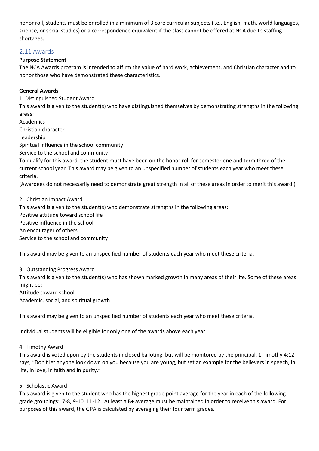honor roll, students must be enrolled in a minimum of 3 core curricular subjects (i.e., English, math, world languages, science, or social studies) or a correspondence equivalent if the class cannot be offered at NCA due to staffing shortages.

## <span id="page-5-0"></span>2.11 Awards

#### **Purpose Statement**

The NCA Awards program is intended to affirm the value of hard work, achievement, and Christian character and to honor those who have demonstrated these characteristics.

#### **General Awards**

1. Distinguished Student Award

This award is given to the student(s) who have distinguished themselves by demonstrating strengths in the following areas:

Academics

Christian character

Leadership

Spiritual influence in the school community

Service to the school and community

To qualify for this award, the student must have been on the honor roll for semester one and term three of the current school year. This award may be given to an unspecified number of students each year who meet these criteria.

(Awardees do not necessarily need to demonstrate great strength in all of these areas in order to merit this award.)

2. Christian Impact Award

This award is given to the student(s) who demonstrate strengths in the following areas: Positive attitude toward school life Positive influence in the school An encourager of others Service to the school and community

This award may be given to an unspecified number of students each year who meet these criteria.

#### 3. Outstanding Progress Award

This award is given to the student(s) who has shown marked growth in many areas of their life. Some of these areas might be:

Attitude toward school

Academic, social, and spiritual growth

This award may be given to an unspecified number of students each year who meet these criteria.

Individual students will be eligible for only one of the awards above each year.

#### 4. Timothy Award

This award is voted upon by the students in closed balloting, but will be monitored by the principal. 1 Timothy 4:12 says, "Don't let anyone look down on you because you are young, but set an example for the believers in speech, in life, in love, in faith and in purity."

#### 5. Scholastic Award

This award is given to the student who has the highest grade point average for the year in each of the following grade groupings: 7-8, 9-10, 11-12. At least a B+ average must be maintained in order to receive this award. For purposes of this award, the GPA is calculated by averaging their four term grades.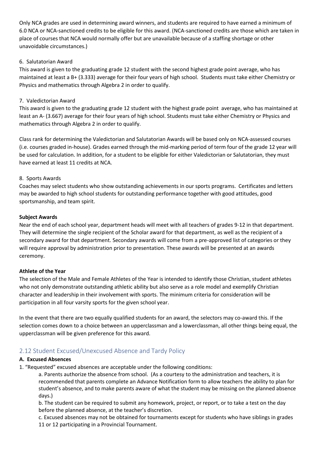Only NCA grades are used in determining award winners, and students are required to have earned a minimum of 6.0 NCA or NCA-sanctioned credits to be eligible for this award. (NCA-sanctioned credits are those which are taken in place of courses that NCA would normally offer but are unavailable because of a staffing shortage or other unavoidable circumstances.)

#### 6. Salutatorian Award

This award is given to the graduating grade 12 student with the second highest grade point average, who has maintained at least a B+ (3.333) average for their four years of high school. Students must take either Chemistry or Physics and mathematics through Algebra 2 in order to qualify.

#### 7. Valedictorian Award

This award is given to the graduating grade 12 student with the highest grade point average, who has maintained at least an A- (3.667) average for their four years of high school. Students must take either Chemistry or Physics and mathematics through Algebra 2 in order to qualify.

Class rank for determining the Valedictorian and Salutatorian Awards will be based only on NCA-assessed courses (i.e. courses graded in-house). Grades earned through the mid-marking period of term four of the grade 12 year will be used for calculation. In addition, for a student to be eligible for either Valedictorian or Salutatorian, they must have earned at least 11 credits at NCA.

#### 8. Sports Awards

Coaches may select students who show outstanding achievements in our sports programs. Certificates and letters may be awarded to high school students for outstanding performance together with good attitudes, good sportsmanship, and team spirit.

#### **Subject Awards**

Near the end of each school year, department heads will meet with all teachers of grades 9-12 in that department. They will determine the single recipient of the Scholar award for that department, as well as the recipient of a secondary award for that department. Secondary awards will come from a pre-approved list of categories or they will require approval by administration prior to presentation. These awards will be presented at an awards ceremony.

#### **Athlete of the Year**

The selection of the Male and Female Athletes of the Year is intended to identify those Christian, student athletes who not only demonstrate outstanding athletic ability but also serve as a role model and exemplify Christian character and leadership in their involvement with sports. The minimum criteria for consideration will be participation in all four varsity sports for the given school year.

In the event that there are two equally qualified students for an award, the selectors may co-award this. If the selection comes down to a choice between an upperclassman and a lowerclassman, all other things being equal, the upperclassman will be given preference for this award.

# <span id="page-6-0"></span>2.12 Student Excused/Unexcused Absence and Tardy Policy

#### **A. Excused Absences**

1. "Requested" excused absences are acceptable under the following conditions:

a. Parents authorize the absence from school. (As a courtesy to the administration and teachers, it is recommended that parents complete an Advance Notification form to allow teachers the ability to plan for student's absence, and to make parents aware of what the student may be missing on the planned absence days.)

b. The student can be required to submit any homework, project, or report, or to take a test on the day before the planned absence, at the teacher's discretion.

c. Excused absences may not be obtained for tournaments except for students who have siblings in grades 11 or 12 participating in a Provincial Tournament.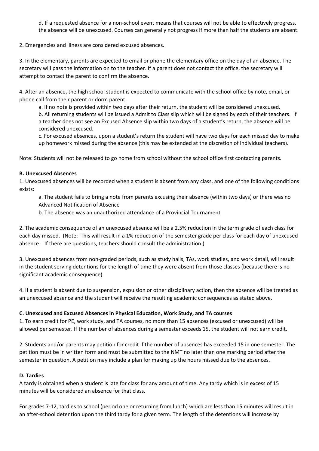d. If a requested absence for a non-school event means that courses will not be able to effectively progress, the absence will be unexcused. Courses can generally not progress if more than half the students are absent.

2. Emergencies and illness are considered excused absences.

3. In the elementary, parents are expected to email or phone the elementary office on the day of an absence. The secretary will pass the information on to the teacher. If a parent does not contact the office, the secretary will attempt to contact the parent to confirm the absence.

4. After an absence, the high school student is expected to communicate with the school office by note, email, or phone call from their parent or dorm parent.

a. If no note is provided within two days after their return, the student will be considered unexcused. b. All returning students will be issued a Admit to Class slip which will be signed by each of their teachers. If a teacher does not see an Excused Absence slip within two days of a student's return, the absence will be considered unexcused.

c. For excused absences, upon a student's return the student will have two days for each missed day to make up homework missed during the absence (this may be extended at the discretion of individual teachers).

Note: Students will not be released to go home from school without the school office first contacting parents.

#### **B. Unexcused Absences**

1. Unexcused absences will be recorded when a student is absent from any class, and one of the following conditions exists:

a. The student fails to bring a note from parents excusing their absence (within two days) or there was no Advanced Notification of Absence

b. The absence was an unauthorized attendance of a Provincial Tournament

2. The academic consequence of an unexcused absence will be a 2.5% reduction in the term grade of each class for each day missed. (Note: This will result in a 1% reduction of the semester grade per class for each day of unexcused absence. If there are questions, teachers should consult the administration.)

3. Unexcused absences from non-graded periods, such as study halls, TAs, work studies, and work detail, will result in the student serving detentions for the length of time they were absent from those classes (because there is no significant academic consequence).

4. If a student is absent due to suspension, expulsion or other disciplinary action, then the absence will be treated as an unexcused absence and the student will receive the resulting academic consequences as stated above.

#### **C. Unexcused and Excused Absences in Physical Education, Work Study, and TA courses**

1. To earn credit for PE, work study, and TA courses, no more than 15 absences (excused or unexcused) will be allowed per semester. If the number of absences during a semester exceeds 15, the student will not earn credit.

2. Students and/or parents may petition for credit if the number of absences has exceeded 15 in one semester. The petition must be in written form and must be submitted to the NMT no later than one marking period after the semester in question. A petition may include a plan for making up the hours missed due to the absences.

#### **D. Tardies**

A tardy is obtained when a student is late for class for any amount of time. Any tardy which is in excess of 15 minutes will be considered an absence for that class.

For grades 7-12, tardies to school (period one or returning from lunch) which are less than 15 minutes will result in an after-school detention upon the third tardy for a given term. The length of the detentions will increase by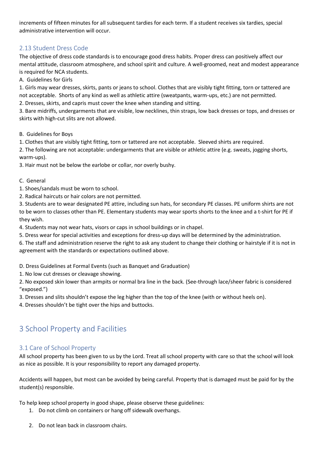increments of fifteen minutes for all subsequent tardies for each term. If a student receives six tardies, special administrative intervention will occur.

# <span id="page-8-0"></span>2.13 Student Dress Code

The objective of dress code standards is to encourage good dress habits. Proper dress can positively affect our mental attitude, classroom atmosphere, and school spirit and culture. A well-groomed, neat and modest appearance is required for NCA students.

A. Guidelines for Girls

1. Girls may wear dresses, skirts, pants or jeans to school. Clothes that are visibly tight fitting, torn or tattered are not acceptable. Shorts of any kind as well as athletic attire (sweatpants, warm-ups, etc.) are not permitted. 2. Dresses, skirts, and capris must cover the knee when standing and sitting.

3. Bare midriffs, undergarments that are visible, low necklines, thin straps, low back dresses or tops, and dresses or skirts with high-cut slits are not allowed.

B. Guidelines for Boys

1. Clothes that are visibly tight fitting, torn or tattered are not acceptable. Sleeved shirts are required.

2. The following are not acceptable: undergarments that are visible or athletic attire (e.g. sweats, jogging shorts, warm-ups).

3. Hair must not be below the earlobe or collar, nor overly bushy.

C. General

- 1. Shoes/sandals must be worn to school.
- 2. Radical haircuts or hair colors are not permitted.

3. Students are to wear designated PE attire, including sun hats, for secondary PE classes. PE uniform shirts are not to be worn to classes other than PE. Elementary students may wear sports shorts to the knee and a t-shirt for PE if they wish.

4. Students may not wear hats, visors or caps in school buildings or in chapel.

5. Dress wear for special activities and exceptions for dress-up days will be determined by the administration.

6. The staff and administration reserve the right to ask any student to change their clothing or hairstyle if it is not in agreement with the standards or expectations outlined above.

D. Dress Guidelines at Formal Events (such as Banquet and Graduation)

1. No low cut dresses or cleavage showing.

2. No exposed skin lower than armpits or normal bra line in the back. (See-through lace/sheer fabric is considered "exposed.")

3. Dresses and slits shouldn't expose the leg higher than the top of the knee (with or without heels on).

4. Dresses shouldn't be tight over the hips and buttocks.

# <span id="page-8-1"></span>3 School Property and Facilities

# <span id="page-8-2"></span>3.1 Care of School Property

All school property has been given to us by the Lord. Treat all school property with care so that the school will look as nice as possible. It is your responsibility to report any damaged property.

Accidents will happen, but most can be avoided by being careful. Property that is damaged must be paid for by the student(s) responsible.

To help keep school property in good shape, please observe these guidelines:

- 1. Do not climb on containers or hang off sidewalk overhangs.
- 2. Do not lean back in classroom chairs.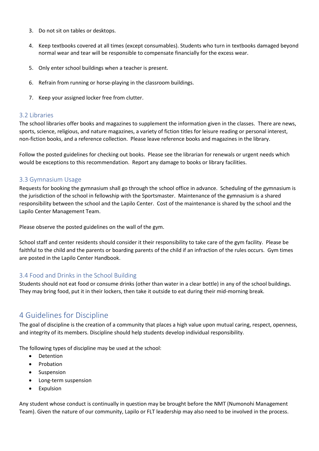- 3. Do not sit on tables or desktops.
- 4. Keep textbooks covered at all times (except consumables). Students who turn in textbooks damaged beyond normal wear and tear will be responsible to compensate financially for the excess wear.
- 5. Only enter school buildings when a teacher is present.
- 6. Refrain from running or horse-playing in the classroom buildings.
- 7. Keep your assigned locker free from clutter.

#### <span id="page-9-0"></span>3.2 Libraries

The school libraries offer books and magazines to supplement the information given in the classes. There are news, sports, science, religious, and nature magazines, a variety of fiction titles for leisure reading or personal interest, non-fiction books, and a reference collection. Please leave reference books and magazines in the library.

Follow the posted guidelines for checking out books. Please see the librarian for renewals or urgent needs which would be exceptions to this recommendation. Report any damage to books or library facilities.

#### <span id="page-9-1"></span>3.3 Gymnasium Usage

Requests for booking the gymnasium shall go through the school office in advance. Scheduling of the gymnasium is the jurisdiction of the school in fellowship with the Sportsmaster. Maintenance of the gymnasium is a shared responsibility between the school and the Lapilo Center. Cost of the maintenance is shared by the school and the Lapilo Center Management Team.

Please observe the posted guidelines on the wall of the gym.

School staff and center residents should consider it their responsibility to take care of the gym facility. Please be faithful to the child and the parents or boarding parents of the child if an infraction of the rules occurs. Gym times are posted in the Lapilo Center Handbook.

## <span id="page-9-2"></span>3.4 Food and Drinks in the School Building

Students should not eat food or consume drinks (other than water in a clear bottle) in any of the school buildings. They may bring food, put it in their lockers, then take it outside to eat during their mid-morning break.

# <span id="page-9-3"></span>4 Guidelines for Discipline

The goal of discipline is the creation of a community that places a high value upon mutual caring, respect, openness, and integrity of its members. Discipline should help students develop individual responsibility.

The following types of discipline may be used at the school:

- Detention
- Probation
- Suspension
- Long-term suspension
- Expulsion

Any student whose conduct is continually in question may be brought before the NMT (Numonohi Management Team). Given the nature of our community, Lapilo or FLT leadership may also need to be involved in the process.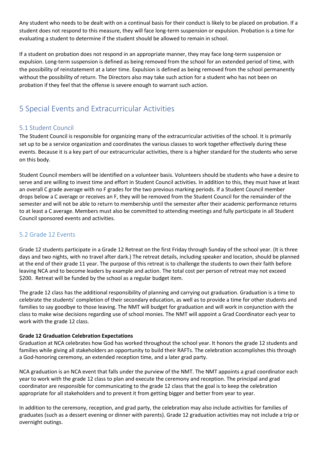Any student who needs to be dealt with on a continual basis for their conduct is likely to be placed on probation. If a student does not respond to this measure, they will face long-term suspension or expulsion. Probation is a time for evaluating a student to determine if the student should be allowed to remain in school.

If a student on probation does not respond in an appropriate manner, they may face long-term suspension or expulsion. Long-term suspension is defined as being removed from the school for an extended period of time, with the possibility of reinstatement at a later time. Expulsion is defined as being removed from the school permanently without the possibility of return. The Directors also may take such action for a student who has not been on probation if they feel that the offense is severe enough to warrant such action.

# <span id="page-10-0"></span>5 Special Events and Extracurricular Activities

# <span id="page-10-1"></span>5.1 Student Council

The Student Council is responsible for organizing many of the extracurricular activities of the school. It is primarily set up to be a service organization and coordinates the various classes to work together effectively during these events. Because it is a key part of our extracurricular activities, there is a higher standard for the students who serve on this body.

Student Council members will be identified on a volunteer basis. Volunteers should be students who have a desire to serve and are willing to invest time and effort in Student Council activities. In addition to this, they must have at least an overall C grade average with no F grades for the two previous marking periods. If a Student Council member drops below a C average or receives an F, they will be removed from the Student Council for the remainder of the semester and will not be able to return to membership until the semester after their academic performance returns to at least a C average. Members must also be committed to attending meetings and fully participate in all Student Council sponsored events and activities.

# <span id="page-10-2"></span>5.2 Grade 12 Events

Grade 12 students participate in a Grade 12 Retreat on the first Friday through Sunday of the school year. (It is three days and two nights, with no travel after dark.) The retreat details, including speaker and location, should be planned at the end of their grade 11 year. The purpose of this retreat is to challenge the students to own their faith before leaving NCA and to become leaders by example and action. The total cost per person of retreat may not exceed \$200. Retreat will be funded by the school as a regular budget item.

The grade 12 class has the additional responsibility of planning and carrying out graduation. Graduation is a time to celebrate the students' completion of their secondary education, as well as to provide a time for other students and families to say goodbye to those leaving. The NMT will budget for graduation and will work in conjunction with the class to make wise decisions regarding use of school monies. The NMT will appoint a Grad Coordinator each year to work with the grade 12 class.

#### **Grade 12 Graduation Celebration Expectations**

Graduation at NCA celebrates how God has worked throughout the school year. It honors the grade 12 students and families while giving all stakeholders an opportunity to build their RAFTs. The celebration accomplishes this through a God-honoring ceremony, an extended reception time, and a later grad party.

NCA graduation is an NCA event that falls under the purview of the NMT. The NMT appoints a grad coordinator each year to work with the grade 12 class to plan and execute the ceremony and reception. The principal and grad coordinator are responsible for communicating to the grade 12 class that the goal is to keep the celebration appropriate for all stakeholders and to prevent it from getting bigger and better from year to year.

In addition to the ceremony, reception, and grad party, the celebration may also include activities for families of graduates (such as a dessert evening or dinner with parents). Grade 12 graduation activities may not include a trip or overnight outings.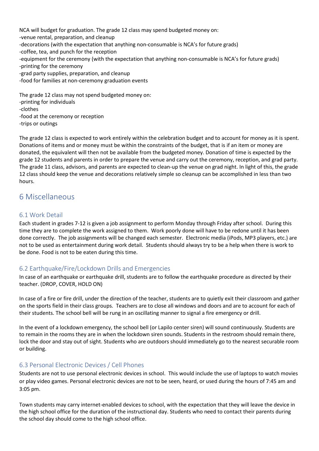NCA will budget for graduation. The grade 12 class may spend budgeted money on: -venue rental, preparation, and cleanup -decorations (with the expectation that anything non-consumable is NCA's for future grads) -coffee, tea, and punch for the reception -equipment for the ceremony (with the expectation that anything non-consumable is NCA's for future grads) -printing for the ceremony -grad party supplies, preparation, and cleanup -food for families at non-ceremony graduation events The grade 12 class may not spend budgeted money on:

-printing for individuals -clothes -food at the ceremony or reception -trips or outings

The grade 12 class is expected to work entirely within the celebration budget and to account for money as it is spent. Donations of items and or money must be within the constraints of the budget, that is if an item or money are donated, the equivalent will then not be available from the budgeted money. Donation of time is expected by the grade 12 students and parents in order to prepare the venue and carry out the ceremony, reception, and grad party. The grade 11 class, advisors, and parents are expected to clean-up the venue on grad night. In light of this, the grade 12 class should keep the venue and decorations relatively simple so cleanup can be accomplished in less than two hours.

# <span id="page-11-0"></span>6 Miscellaneous

## <span id="page-11-1"></span>6.1 Work Detail

Each student in grades 7-12 is given a job assignment to perform Monday through Friday after school. During this time they are to complete the work assigned to them. Work poorly done will have to be redone until it has been done correctly. The job assignments will be changed each semester. Electronic media (iPods, MP3 players, etc.) are not to be used as entertainment during work detail. Students should always try to be a help when there is work to be done. Food is not to be eaten during this time.

## <span id="page-11-2"></span>6.2 Earthquake/Fire/Lockdown Drills and Emergencies

In case of an earthquake or earthquake drill, students are to follow the earthquake procedure as directed by their teacher. (DROP, COVER, HOLD ON)

In case of a fire or fire drill, under the direction of the teacher, students are to quietly exit their classroom and gather on the sports field in their class groups. Teachers are to close all windows and doors and are to account for each of their students. The school bell will be rung in an oscillating manner to signal a fire emergency or drill.

In the event of a lockdown emergency, the school bell (or Lapilo center siren) will sound continuously. Students are to remain in the rooms they are in when the lockdown siren sounds. Students in the restroom should remain there, lock the door and stay out of sight. Students who are outdoors should immediately go to the nearest securable room or building.

# <span id="page-11-3"></span>6.3 Personal Electronic Devices / Cell Phones

Students are not to use personal electronic devices in school. This would include the use of laptops to watch movies or play video games. Personal electronic devices are not to be seen, heard, or used during the hours of 7:45 am and 3:05 pm.

Town students may carry internet-enabled devices to school, with the expectation that they will leave the device in the high school office for the duration of the instructional day. Students who need to contact their parents during the school day should come to the high school office.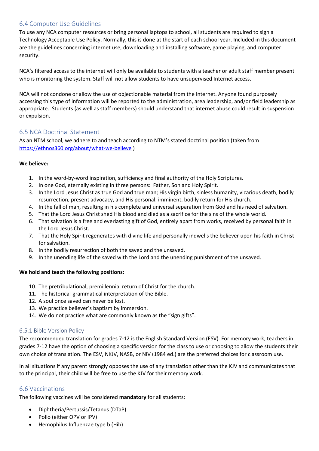## <span id="page-12-0"></span>6.4 Computer Use Guidelines

To use any NCA computer resources or bring personal laptops to school, all students are required to sign a Technology Acceptable Use Policy. Normally, this is done at the start of each school year. Included in this document are the guidelines concerning internet use, downloading and installing software, game playing, and computer security.

NCA's filtered access to the internet will only be available to students with a teacher or adult staff member present who is monitoring the system. Staff will not allow students to have unsupervised Internet access.

NCA will not condone or allow the use of objectionable material from the internet. Anyone found purposely accessing this type of information will be reported to the administration, area leadership, and/or field leadership as appropriate. Students (as well as staff members) should understand that internet abuse could result in suspension or expulsion.

## <span id="page-12-1"></span>6.5 NCA Doctrinal Statement

As an NTM school, we adhere to and teach according to NTM's stated doctrinal position (taken from <https://ethnos360.org/about/what-we-believe> )

#### **We believe:**

- 1. In the word-by-word inspiration, sufficiency and final authority of the Holy Scriptures.
- 2. In one God, eternally existing in three persons: Father, Son and Holy Spirit.
- 3. In the Lord Jesus Christ as true God and true man; His virgin birth, sinless humanity, vicarious death, bodily resurrection, present advocacy, and His personal, imminent, bodily return for His church.
- 4. In the fall of man, resulting in his complete and universal separation from God and his need of salvation.
- 5. That the Lord Jesus Christ shed His blood and died as a sacrifice for the sins of the whole world.
- 6. That salvation is a free and everlasting gift of God, entirely apart from works, received by personal faith in the Lord Jesus Christ.
- 7. That the Holy Spirit regenerates with divine life and personally indwells the believer upon his faith in Christ for salvation.
- 8. In the bodily resurrection of both the saved and the unsaved.
- 9. In the unending life of the saved with the Lord and the unending punishment of the unsaved.

#### **We hold and teach the following positions:**

- 10. The pretribulational, premillennial return of Christ for the church.
- 11. The historical-grammatical interpretation of the Bible.
- 12. A soul once saved can never be lost.
- 13. We practice believer's baptism by immersion.
- 14. We do not practice what are commonly known as the "sign gifts".

#### <span id="page-12-2"></span>6.5.1 Bible Version Policy

The recommended translation for grades 7-12 is the English Standard Version (ESV). For memory work, teachers in grades 7-12 have the option of choosing a specific version for the class to use or choosing to allow the students their own choice of translation. The ESV, NKJV, NASB, or NIV (1984 ed.) are the preferred choices for classroom use.

In all situations if any parent strongly opposes the use of any translation other than the KJV and communicates that to the principal, their child will be free to use the KJV for their memory work.

#### <span id="page-12-3"></span>6.6 Vaccinations

The following vaccines will be considered **mandatory** for all students:

- Diphtheria/Pertussis/Tetanus (DTaP)
- Polio (either OPV or IPV)
- Hemophilus Influenzae type b (Hib)